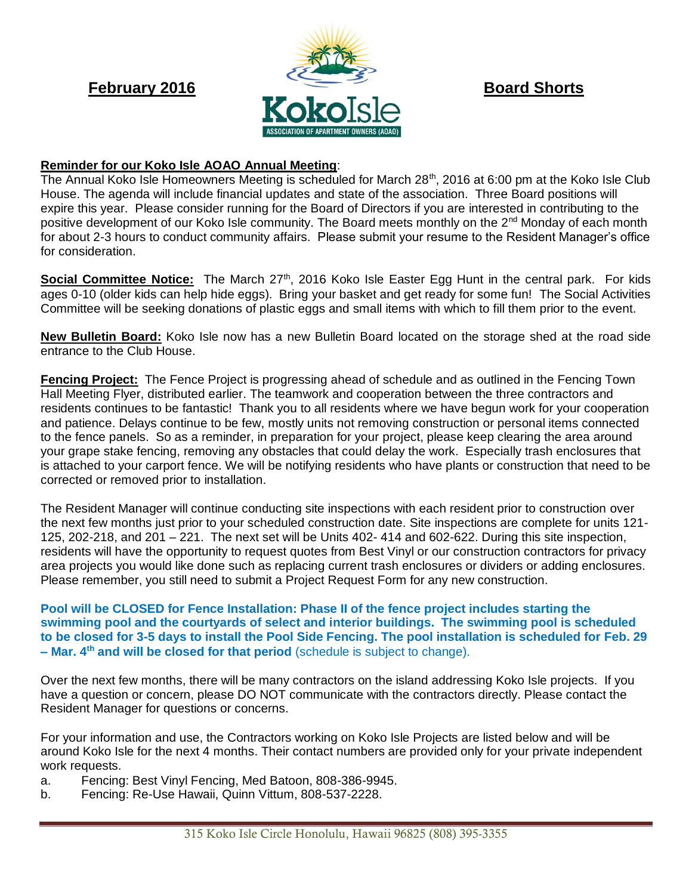

## **Reminder for our Koko Isle AOAO Annual Meeting**:

The Annual Koko Isle Homeowners Meeting is scheduled for March 28<sup>th</sup>, 2016 at 6:00 pm at the Koko Isle Club House. The agenda will include financial updates and state of the association. Three Board positions will expire this year. Please consider running for the Board of Directors if you are interested in contributing to the positive development of our Koko Isle community. The Board meets monthly on the 2<sup>nd</sup> Monday of each month for about 2-3 hours to conduct community affairs. Please submit your resume to the Resident Manager's office for consideration.

**Social Committee Notice:** The March 27<sup>th</sup>, 2016 Koko Isle Easter Egg Hunt in the central park. For kids ages 0-10 (older kids can help hide eggs). Bring your basket and get ready for some fun! The Social Activities Committee will be seeking donations of plastic eggs and small items with which to fill them prior to the event.

**New Bulletin Board:** Koko Isle now has a new Bulletin Board located on the storage shed at the road side entrance to the Club House.

**Fencing Project:** The Fence Project is progressing ahead of schedule and as outlined in the Fencing Town Hall Meeting Flyer, distributed earlier. The teamwork and cooperation between the three contractors and residents continues to be fantastic! Thank you to all residents where we have begun work for your cooperation and patience. Delays continue to be few, mostly units not removing construction or personal items connected to the fence panels. So as a reminder, in preparation for your project, please keep clearing the area around your grape stake fencing, removing any obstacles that could delay the work. Especially trash enclosures that is attached to your carport fence. We will be notifying residents who have plants or construction that need to be corrected or removed prior to installation.

The Resident Manager will continue conducting site inspections with each resident prior to construction over the next few months just prior to your scheduled construction date. Site inspections are complete for units 121- 125, 202-218, and 201 – 221. The next set will be Units 402- 414 and 602-622. During this site inspection, residents will have the opportunity to request quotes from Best Vinyl or our construction contractors for privacy area projects you would like done such as replacing current trash enclosures or dividers or adding enclosures. Please remember, you still need to submit a Project Request Form for any new construction.

**Pool will be CLOSED for Fence Installation: Phase II of the fence project includes starting the swimming pool and the courtyards of select and interior buildings. The swimming pool is scheduled to be closed for 3-5 days to install the Pool Side Fencing. The pool installation is scheduled for Feb. 29 – Mar. 4th and will be closed for that period** (schedule is subject to change).

Over the next few months, there will be many contractors on the island addressing Koko Isle projects. If you have a question or concern, please DO NOT communicate with the contractors directly. Please contact the Resident Manager for questions or concerns.

For your information and use, the Contractors working on Koko Isle Projects are listed below and will be around Koko Isle for the next 4 months. Their contact numbers are provided only for your private independent work requests.

- a. Fencing: Best Vinyl Fencing, Med Batoon, 808-386-9945.
- b. Fencing: Re-Use Hawaii, Quinn Vittum, 808-537-2228.